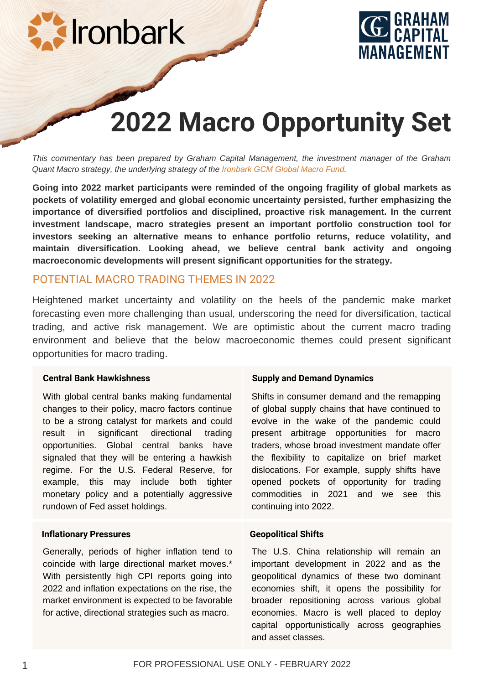



# **2022 Macro Opportunity Set**

*This commentary has been prepared by Graham Capital Management, the investment manager of the Graham Quant Macro strategy, the underlying strategy of the Ironbark GCM Global Macro Fund.*

**Going into 2022 market participants were reminded of the ongoing fragility of global markets as pockets of volatility emerged and global economic uncertainty persisted, further emphasizing the importance of diversified portfolios and disciplined, proactive risk management. In the current investment landscape, macro strategies present an important portfolio construction tool for investors seeking an alternative means to enhance portfolio returns, reduce volatility, and maintain diversification. Looking ahead, we believe central bank activity and ongoing macroeconomic developments will present significant opportunities for the strategy.**

# POTENTIAL MACRO TRADING THEMES IN 2022

Heightened market uncertainty and volatility on the heels of the pandemic make market forecasting even more challenging than usual, underscoring the need for diversification, tactical trading, and active risk management. We are optimistic about the current macro trading environment and believe that the below macroeconomic themes could present significant opportunities for macro trading.

#### **Central Bank Hawkishness**

With global central banks making fundamental changes to their policy, macro factors continue to be a strong catalyst for markets and could result in significant directional trading opportunities. Global central banks have signaled that they will be entering a hawkish regime. For the U.S. Federal Reserve, for example, this may include both tighter monetary policy and a potentially aggressive rundown of Fed asset holdings.

#### **Inflationary Pressures**

Generally, periods of higher inflation tend to coincide with large directional market moves.\* With persistently high CPI reports going into 2022 and inflation expectations on the rise, the market environment is expected to be favorable for active, directional strategies such as macro.

#### **Supply and Demand Dynamics**

Shifts in consumer demand and the remapping of global supply chains that have continued to evolve in the wake of the pandemic could present arbitrage opportunities for macro traders, whose broad investment mandate offer the flexibility to capitalize on brief market dislocations. For example, supply shifts have opened pockets of opportunity for trading commodities in 2021 and we see this continuing into 2022.

#### **Geopolitical Shifts**

The U.S. China relationship will remain an important development in 2022 and as the geopolitical dynamics of these two dominant economies shift, it opens the possibility for broader repositioning across various global economies. Macro is well placed to deploy capital opportunistically across geographies and asset classes.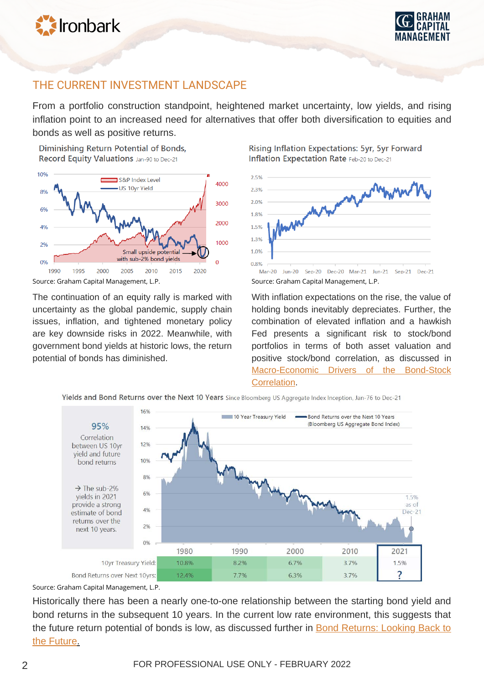



# THE CURRENT INVESTMENT LANDSCAPE

From a portfolio construction standpoint, heightened market uncertainty, low yields, and rising inflation point to an increased need for alternatives that offer both diversification to equities and bonds as well as positive returns.

Diminishing Return Potential of Bonds. Record Equity Valuations Jan-90 to Dec-21



The continuation of an equity rally is marked with uncertainty as the global pandemic, supply chain issues, inflation, and tightened monetary policy are key downside risks in 2022. Meanwhile, with government bond yields at historic lows, the return potential of bonds has diminished.

Rising Inflation Expectations: 5yr, 5yr Forward Inflation Expectation Rate Feb-20 to Dec-21



With inflation expectations on the rise, the value of holding bonds inevitably depreciates. Further, the combination of elevated inflation and a hawkish Fed presents a significant risk to stock/bond portfolios in terms of both asset valuation and positive stock/bond correlation, as discussed in [Macro-Economic Drivers of the Bond-Stock](https://www.grahamcapital.com/assets/ResearchPapers/Macro-Economic%20Drivers%20of%20the%20Bond-Stock%20Correlation_August%202021.pdf) Correlation.



Yields and Bond Returns over the Next 10 Years Since Bloomberg US Aggregate Index Inception, Jan-76 to Dec-21

Source: Graham Capital Management, L.P.

Historically there has been a nearly one-to-one relationship between the starting bond yield and bond returns in the subsequent 10 years. In the current low rate environment, this suggests that the future return potential of bonds is low, as discussed further in **Bond Returns: Looking Back to** the Future[.](https://www.grahamcapital.com/assets/InsightSeries/Bond%20Returns%20Looking%20Back%20to%20the%20Future.pdf)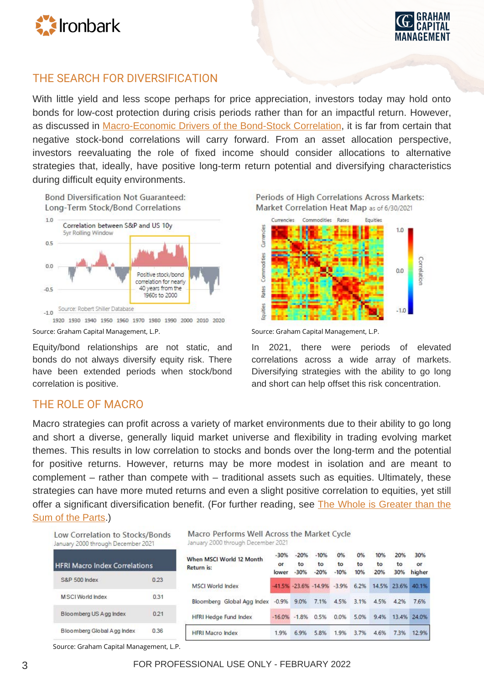



# THE SEARCH FOR DIVERSIFICATION

With little yield and less scope perhaps for price appreciation, investors today may hold onto bonds for low-cost protection during crisis periods rather than for an impactful return. However, as discussed in [Macro-Economic Drivers of the Bond-Stock Correlation](https://www.grahamcapital.com/assets/ResearchPapers/Macro-Economic%20Drivers%20of%20the%20Bond-Stock%20Correlation_August%202021.pdf), it is far from certain that negative stock-bond correlations will carry forward. From an asset allocation perspective, investors reevaluating the role of fixed income should consider allocations to alternative strategies that, ideally, have positive long-term return potential and diversifying characteristics during difficult equity environments.



1920 1930 1940 1950 1960 1970 1980 1990 2000 2010 2020 Source: Graham Capital Management, L.P. Source: Graham Capital Management, L.P.

Equity/bond relationships are not static, and bonds do not always diversify equity risk. There have been extended periods when stock/bond correlation is positive.

Periods of High Correlations Across Markets: Market Correlation Heat Map as of 6/30/2021



In 2021, there were periods of elevated correlations across a wide array of markets. Diversifying strategies with the ability to go long and short can help offset this risk concentration.

# THE ROLE OF MACRO

Macro strategies can profit across a variety of market environments due to their ability to go long and short a diverse, generally liquid market universe and flexibility in trading evolving market themes. This results in low correlation to stocks and bonds over the long-term and the potential for positive returns. However, returns may be more modest in isolation and are meant to complement – rather than compete with – traditional assets such as equities. Ultimately, these strategies can have more muted returns and even a slight positive correlation to equities, yet still [offer a significant diversification benefit. \(For further reading, see The Whole is Greater than the](https://www.grahamcapital.com/assets/InsightSeries/The%20Whole%20is%20Greater%20than%20the%20Sum%20of%20the%20Parts.pdf) Sum of the Parts.)

| Low Correlation to Stocks/Bonds<br>January 2000 through December 2021 |      | Macro Performs Well Across the Market Cycle<br>January 2000 through December 2021 |                       |                        |                        |                    |                 |                  |                  |                     |
|-----------------------------------------------------------------------|------|-----------------------------------------------------------------------------------|-----------------------|------------------------|------------------------|--------------------|-----------------|------------------|------------------|---------------------|
| <b>HFRI Macro Index Correlations</b>                                  |      | When MSCI World 12 Month<br>Return is:                                            | $-30%$<br>or<br>lower | $-20%$<br>to<br>$-30%$ | $-10%$<br>to<br>$-20%$ | 0%<br>to<br>$-10%$ | 0%<br>to<br>10% | 10%<br>to<br>20% | 20%<br>to<br>30% | 30%<br>or<br>higher |
| <b>S&amp;P 500 Index</b>                                              | 0.23 | <b>MSCI World Index</b>                                                           |                       |                        | -41.5% -23.6% -14.9%   | $-3.9%$            | 6.2%            |                  | 14.5% 23.6%      | 40.1%               |
| MSCI World Index                                                      | 0.31 | Bloomberg Global Agg Index -0.9%                                                  |                       | 9.0%                   | 7.1%                   | 4.5%               | 3.1%            | 4.5%             | 4.2%             | 7.6%                |
| Bloomberg US Agg Index                                                | 0.21 | <b>HFRI Hedge Fund Index</b>                                                      | $-16.0\% -1.8\%$      |                        | 0.5%                   | 0.0%               | 5.0%            | 9.4%             |                  | 13.4% 24.0%         |
| Bloomberg Global Agg Index                                            | 0.36 | <b>HFRI Macro Index</b>                                                           | 1.9%                  | 6.9%                   | 5.8%                   | 1.9%               | 3.7%            | 4.6%             | 7.3%             | 12.9%               |

Source: Graham Capital Management, L.P.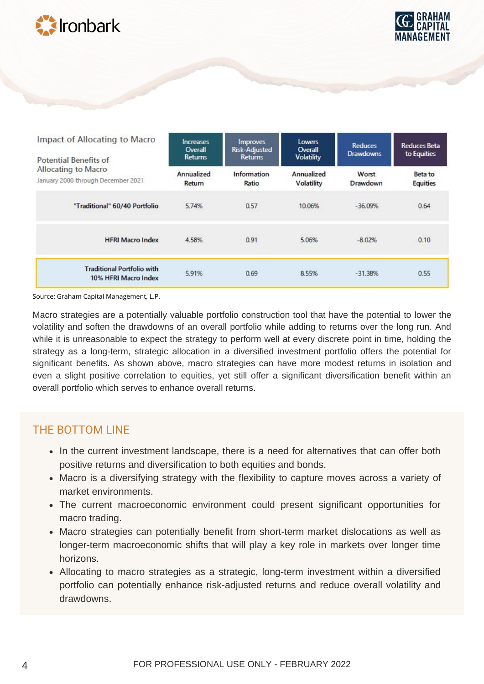



| Impact of Allocating to Macro<br><b>Potential Benefits of</b> | <i>Improves</i><br><b>Increases</b><br><b>Risk-Adjusted</b><br>Overall<br><b>Returns</b><br><b>Returns</b> |                      | Lowers<br><b>Overall</b><br><b>Volatility</b> | <b>Reduces</b><br><b>Drawdowns</b> | <b>Reduces Beta</b><br>to Equities |  |
|---------------------------------------------------------------|------------------------------------------------------------------------------------------------------------|----------------------|-----------------------------------------------|------------------------------------|------------------------------------|--|
| Allocating to Macro<br>January 2000 through December 2021     | Annualized<br>Return                                                                                       | Information<br>Ratio | Annualized<br>Volatility                      | Worst<br>Drawdown                  | Beta to<br>Equities                |  |
| "Traditional" 60/40 Portfolio                                 | 5.74%                                                                                                      | 0.57                 | 10.06%                                        | $-36.09%$                          | 0.64                               |  |
| <b>HFRI Macro Index</b>                                       | 4.58%                                                                                                      | 0.91                 | 5.06%                                         | $-8.02%$                           | 0.10                               |  |
| <b>Traditional Portfolio with</b><br>10% HFRI Macro Index     | 5.91%                                                                                                      | 0.69                 | 8.55%                                         | $-31.38%$                          | 0.55                               |  |

Source: Graham Capital Management, L.P.

Macro strategies are a potentially valuable portfolio construction tool that have the potential to lower the volatility and soften the drawdowns of an overall portfolio while adding to returns over the long run. And while it is unreasonable to expect the strategy to perform well at every discrete point in time, holding the strategy as a long-term, strategic allocation in a diversified investment portfolio offers the potential for significant benefits. As shown above, macro strategies can have more modest returns in isolation and even a slight positive correlation to equities, yet still offer a significant diversification benefit within an overall portfolio which serves to enhance overall returns.

# THE BOTTOM LINE

- In the current investment landscape, there is a need for alternatives that can offer both positive returns and diversification to both equities and bonds.
- Macro is a diversifying strategy with the flexibility to capture moves across a variety of market environments.
- The current macroeconomic environment could present significant opportunities for macro trading.
- Macro strategies can potentially benefit from short-term market dislocations as well as longer-term macroeconomic shifts that will play a key role in markets over longer time horizons.
- Allocating to macro strategies as a strategic, long-term investment within a diversified portfolio can potentially enhance risk-adjusted returns and reduce overall volatility and drawdowns.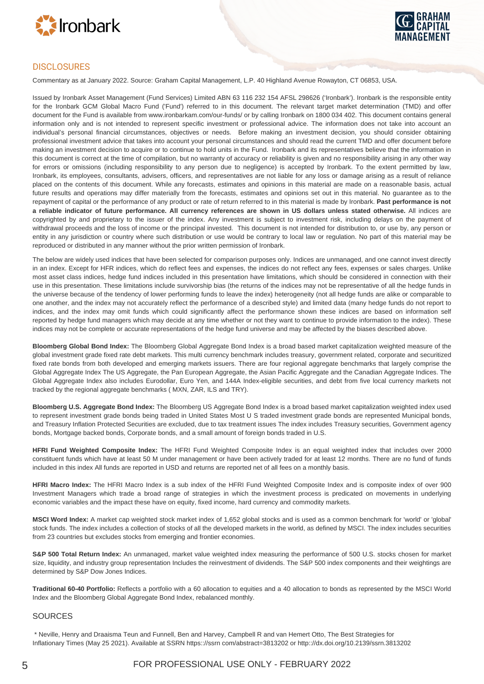



#### **DISCLOSURES**

Commentary as at January 2022. Source: Graham Capital Management, L.P. 40 Highland Avenue Rowayton, CT 06853, USA.

Issued by Ironbark Asset Management (Fund Services) Limited ABN 63 116 232 154 AFSL 298626 ('Ironbark'). Ironbark is the responsible entity for the Ironbark GCM Global Macro Fund ('Fund') referred to in this document. The relevant target market determination (TMD) and offer document for the Fund is available from www.ironbarkam.com/our-funds/ or by calling Ironbark on 1800 034 402. This document contains general information only and is not intended to represent specific investment or professional advice. The information does not take into account an individual's personal financial circumstances, objectives or needs. Before making an investment decision, you should consider obtaining professional investment advice that takes into account your personal circumstances and should read the current TMD and offer document before making an investment decision to acquire or to continue to hold units in the Fund. Ironbark and its representatives believe that the information in this document is correct at the time of compilation, but no warranty of accuracy or reliability is given and no responsibility arising in any other way for errors or omissions (including responsibility to any person due to negligence) is accepted by Ironbark. To the extent permitted by law, Ironbark, its employees, consultants, advisers, officers, and representatives are not liable for any loss or damage arising as a result of reliance placed on the contents of this document. While any forecasts, estimates and opinions in this material are made on a reasonable basis, actual future results and operations may differ materially from the forecasts, estimates and opinions set out in this material. No guarantee as to the repayment of capital or the performance of any product or rate of return referred to in this material is made by Ironbark. **Past performance is not a reliable indicator of future performance. All currency references are shown in US dollars unless stated otherwise.** All indices are copyrighted by and proprietary to the issuer of the index. Any investment is subject to investment risk, including delays on the payment of withdrawal proceeds and the loss of income or the principal invested. This document is not intended for distribution to, or use by, any person or entity in any jurisdiction or country where such distribution or use would be contrary to local law or regulation. No part of this material may be reproduced or distributed in any manner without the prior written permission of Ironbark.

The below are widely used indices that have been selected for comparison purposes only. Indices are unmanaged, and one cannot invest directly in an index. Except for HFR indices, which do reflect fees and expenses, the indices do not reflect any fees, expenses or sales charges. Unlike most asset class indices, hedge fund indices included in this presentation have limitations, which should be considered in connection with their use in this presentation. These limitations include survivorship bias (the returns of the indices may not be representative of all the hedge funds in the universe because of the tendency of lower performing funds to leave the index) heterogeneity (not all hedge funds are alike or comparable to one another, and the index may not accurately reflect the performance of a described style) and limited data (many hedge funds do not report to indices, and the index may omit funds which could significantly affect the performance shown these indices are based on information self reported by hedge fund managers which may decide at any time whether or not they want to continue to provide information to the index). These indices may not be complete or accurate representations of the hedge fund universe and may be affected by the biases described above.

**Bloomberg Global Bond Index:** The Bloomberg Global Aggregate Bond Index is a broad based market capitalization weighted measure of the global investment grade fixed rate debt markets. This multi currency benchmark includes treasury, government related, corporate and securitized fixed rate bonds from both developed and emerging markets issuers. There are four regional aggregate benchmarks that largely comprise the Global Aggregate Index The US Aggregate, the Pan European Aggregate, the Asian Pacific Aggregate and the Canadian Aggregate Indices. The Global Aggregate Index also includes Eurodollar, Euro Yen, and 144A Index-eligible securities, and debt from five local currency markets not tracked by the regional aggregate benchmarks ( MXN, ZAR, ILS and TRY).

**Bloomberg U.S. Aggregate Bond Index:** The Bloomberg US Aggregate Bond Index is a broad based market capitalization weighted index used to represent investment grade bonds being traded in United States Most U S traded investment grade bonds are represented Municipal bonds, and Treasury Inflation Protected Securities are excluded, due to tax treatment issues The index includes Treasury securities, Government agency bonds, Mortgage backed bonds, Corporate bonds, and a small amount of foreign bonds traded in U.S.

**HFRI Fund Weighted Composite Index:** The HFRI Fund Weighted Composite Index is an equal weighted index that includes over 2000 constituent funds which have at least 50 M under management or have been actively traded for at least 12 months. There are no fund of funds included in this index All funds are reported in USD and returns are reported net of all fees on a monthly basis.

**HFRI Macro Index:** The HFRI Macro Index is a sub index of the HFRI Fund Weighted Composite Index and is composite index of over 900 Investment Managers which trade a broad range of strategies in which the investment process is predicated on movements in underlying economic variables and the impact these have on equity, fixed income, hard currency and commodity markets.

**MSCI Word Index:** A market cap weighted stock market index of 1,652 global stocks and is used as a common benchmark for 'world' or 'global' stock funds. The index includes a collection of stocks of all the developed markets in the world, as defined by MSCI. The index includes securities from 23 countries but excludes stocks from emerging and frontier economies.

**S&P 500 Total Return Index:** An unmanaged, market value weighted index measuring the performance of 500 U.S. stocks chosen for market size, liquidity, and industry group representation Includes the reinvestment of dividends. The S&P 500 index components and their weightings are determined by S&P Dow Jones Indices.

**Traditional 60-40 Portfolio:** Reflects a portfolio with a 60 allocation to equities and a 40 allocation to bonds as represented by the MSCI World Index and the Bloomberg Global Aggregate Bond Index, rebalanced monthly.

#### SOURCES

\* Neville, Henry and Draaisma Teun and Funnell, Ben and Harvey, Campbell R and van Hemert Otto, The Best Strategies for Inflationary Times (May 25 2021). Available at SSRN https:://ssrn com/abstract=3813202 or http:://dx.doi.org/10.2139/ssrn.3813202